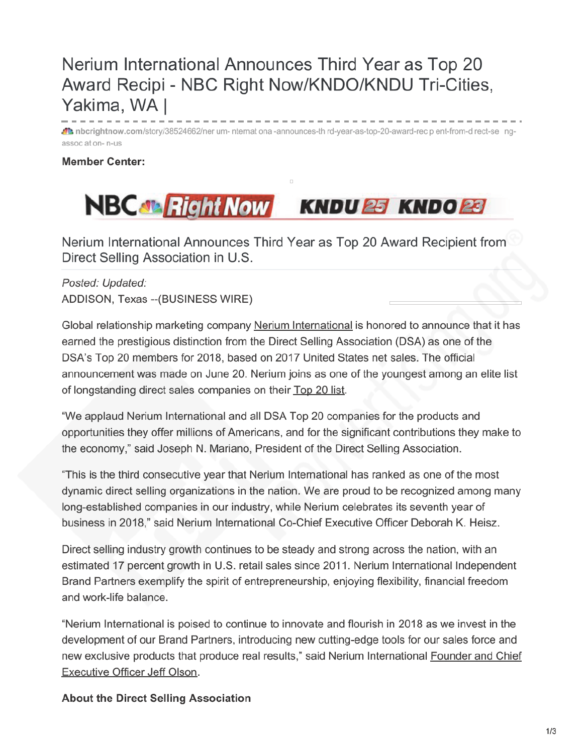## Nerium International Announces Third Year as Top 20 Award Recipi - NBC Right Now/KNDO/KNDU Tri-Cities, Yakima, WA I

At nbcrightnow.com/story/38524662/ner um- nternat ona -announces-th rd-year-as-top-20-award-rec p ent-from-d rect-se ngassoc at on-n-us

## **Member Center:**



Nerium International Announces Third Year as Top 20 Award Recipient from Direct Selling Association in U.S.

Posted: Updated: ADDISON, Texas -- (BUSINESS WIRE)

Global relationship marketing company Nerium International is honored to announce that it has earned the prestigious distinction from the Direct Selling Association (DSA) as one of the DSA's Top 20 members for 2018, based on 2017 United States net sales. The official announcement was made on June 20. Nerium joins as one of the youngest among an elite list of longstanding direct sales companies on their Top 20 list.

"We applaud Nerium International and all DSA Top 20 companies for the products and opportunities they offer millions of Americans, and for the significant contributions they make to the economy," said Joseph N. Mariano, President of the Direct Selling Association.

"This is the third consecutive year that Nerium International has ranked as one of the most dynamic direct selling organizations in the nation. We are proud to be recognized among many long-established companies in our industry, while Nerium celebrates its seventh year of business in 2018," said Nerium International Co-Chief Executive Officer Deborah K. Heisz.

Direct selling industry growth continues to be steady and strong across the nation, with an estimated 17 percent growth in U.S. retail sales since 2011. Nerium International Independent Brand Partners exemplify the spirit of entrepreneurship, enjoying flexibility, financial freedom and work-life balance.

"Nerium International is poised to continue to innovate and flourish in 2018 as we invest in the development of our Brand Partners, introducing new cutting-edge tools for our sales force and new exclusive products that produce real results," said Nerium International Founder and Chief Executive Officer Jeff Olson.

## **About the Direct Selling Association**